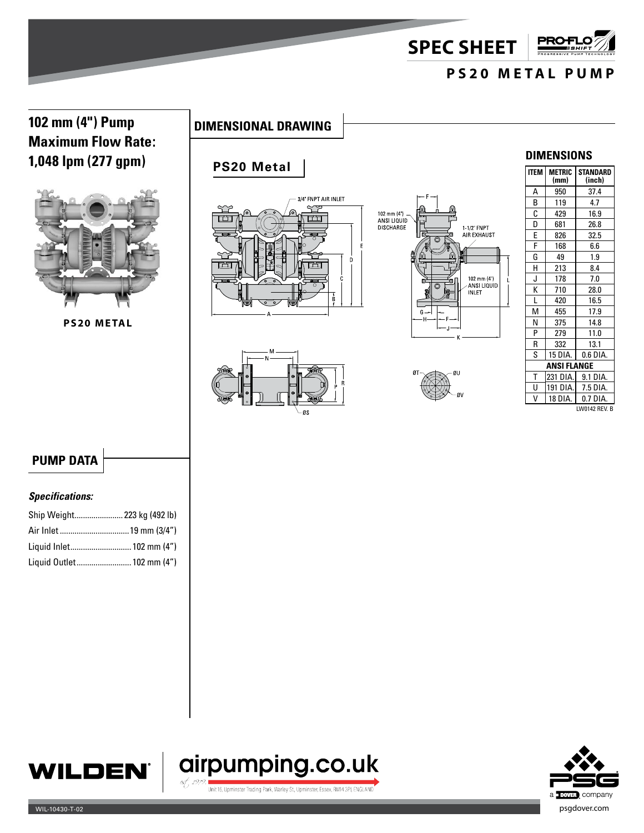**SPEC SHEET**

# **PS20 METAL PUMP**

**PRO+** 

# **102 mm (4") Pump DIMENSIONAL DRAWING Maximum Flow Rate: 1,048 lpm (277 gpm)**



**PS20 METAL**

## **PS20 Metal**









### **DIMENSIONS**

| <b>ITEM</b>   | <b>METRIC</b><br>(mm) | STANDARD<br>(inch) |  |
|---------------|-----------------------|--------------------|--|
| Α             | 950                   | 37.4               |  |
| B             | 119                   | 4.7                |  |
| C             | 429                   | 16.9               |  |
| D             | 681                   | 26.8               |  |
| E             | 826                   | 32.5               |  |
| F             | 168                   | 6.6                |  |
| G             | 49                    | 1.9                |  |
| H             | 213                   | 8.4                |  |
| J             | 178                   | 7.0                |  |
| K             | 710                   | 28.0               |  |
| L             | 420                   | 16.5               |  |
| м             | 455                   | 17.9               |  |
| N             | 375                   | 14.8               |  |
| P             | 279                   | 11.0               |  |
| R             | 332                   | 13.1               |  |
| S             | 15 DIA.               | 0.6 DIA.           |  |
| ANSI FLANGE   |                       |                    |  |
| T             | 231 DIA.              | 9.1 DIA.           |  |
| U             | 191 DIA.              | 7.5 DIA.           |  |
| v             | 18 DIA.               | 0.7 DIA.           |  |
| LW0142 REV. B |                       |                    |  |

## **PUMP DATA**

#### *Specifications:*

| Ship Weight 223 kg (492 lb) |  |
|-----------------------------|--|
|                             |  |
| Liquid Inlet 102 mm (4")    |  |
| Liquid Outlet 102 mm (4")   |  |





Unit 16, Upminster Trading Park, Warley St., Upminster, Essex, RM14 3PJ, ENGLAND